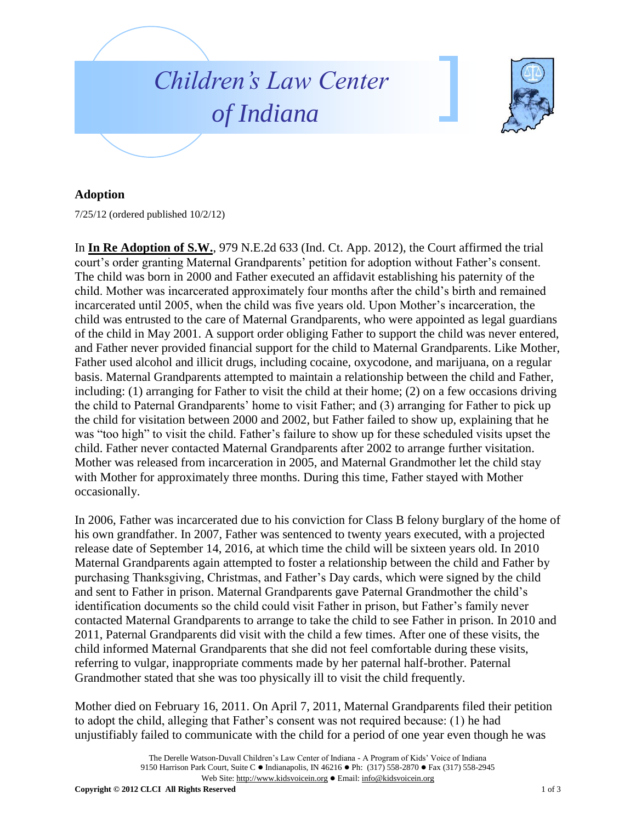

## **Adoption**

7/25/12 (ordered published 10/2/12)

In **In Re Adoption of S.W.**, 979 N.E.2d 633 (Ind. Ct. App. 2012), the Court affirmed the trial court's order granting Maternal Grandparents' petition for adoption without Father's consent. The child was born in 2000 and Father executed an affidavit establishing his paternity of the child. Mother was incarcerated approximately four months after the child's birth and remained incarcerated until 2005, when the child was five years old. Upon Mother's incarceration, the child was entrusted to the care of Maternal Grandparents, who were appointed as legal guardians of the child in May 2001. A support order obliging Father to support the child was never entered, and Father never provided financial support for the child to Maternal Grandparents. Like Mother, Father used alcohol and illicit drugs, including cocaine, oxycodone, and marijuana, on a regular basis. Maternal Grandparents attempted to maintain a relationship between the child and Father, including: (1) arranging for Father to visit the child at their home; (2) on a few occasions driving the child to Paternal Grandparents' home to visit Father; and (3) arranging for Father to pick up the child for visitation between 2000 and 2002, but Father failed to show up, explaining that he was "too high" to visit the child. Father's failure to show up for these scheduled visits upset the child. Father never contacted Maternal Grandparents after 2002 to arrange further visitation. Mother was released from incarceration in 2005, and Maternal Grandmother let the child stay with Mother for approximately three months. During this time, Father stayed with Mother occasionally.

In 2006, Father was incarcerated due to his conviction for Class B felony burglary of the home of his own grandfather. In 2007, Father was sentenced to twenty years executed, with a projected release date of September 14, 2016, at which time the child will be sixteen years old. In 2010 Maternal Grandparents again attempted to foster a relationship between the child and Father by purchasing Thanksgiving, Christmas, and Father's Day cards, which were signed by the child and sent to Father in prison. Maternal Grandparents gave Paternal Grandmother the child's identification documents so the child could visit Father in prison, but Father's family never contacted Maternal Grandparents to arrange to take the child to see Father in prison. In 2010 and 2011, Paternal Grandparents did visit with the child a few times. After one of these visits, the child informed Maternal Grandparents that she did not feel comfortable during these visits, referring to vulgar, inappropriate comments made by her paternal half-brother. Paternal Grandmother stated that she was too physically ill to visit the child frequently.

Mother died on February 16, 2011. On April 7, 2011, Maternal Grandparents filed their petition to adopt the child, alleging that Father's consent was not required because: (1) he had unjustifiably failed to communicate with the child for a period of one year even though he was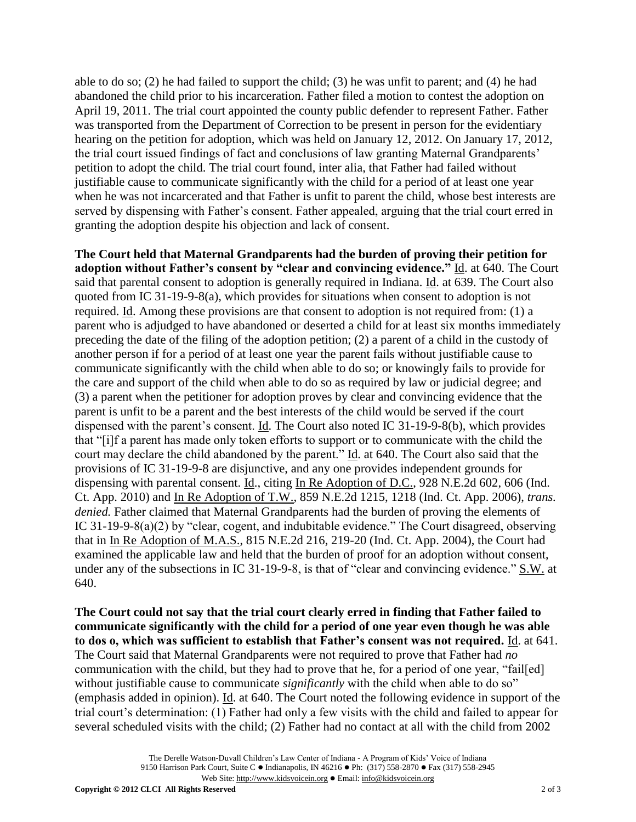able to do so; (2) he had failed to support the child; (3) he was unfit to parent; and (4) he had abandoned the child prior to his incarceration. Father filed a motion to contest the adoption on April 19, 2011. The trial court appointed the county public defender to represent Father. Father was transported from the Department of Correction to be present in person for the evidentiary hearing on the petition for adoption, which was held on January 12, 2012. On January 17, 2012, the trial court issued findings of fact and conclusions of law granting Maternal Grandparents' petition to adopt the child. The trial court found, inter alia, that Father had failed without justifiable cause to communicate significantly with the child for a period of at least one year when he was not incarcerated and that Father is unfit to parent the child, whose best interests are served by dispensing with Father's consent. Father appealed, arguing that the trial court erred in granting the adoption despite his objection and lack of consent.

**The Court held that Maternal Grandparents had the burden of proving their petition for adoption without Father's consent by "clear and convincing evidence."** Id. at 640. The Court said that parental consent to adoption is generally required in Indiana. Id. at 639. The Court also quoted from IC 31-19-9-8(a), which provides for situations when consent to adoption is not required. Id. Among these provisions are that consent to adoption is not required from: (1) a parent who is adjudged to have abandoned or deserted a child for at least six months immediately preceding the date of the filing of the adoption petition; (2) a parent of a child in the custody of another person if for a period of at least one year the parent fails without justifiable cause to communicate significantly with the child when able to do so; or knowingly fails to provide for the care and support of the child when able to do so as required by law or judicial degree; and (3) a parent when the petitioner for adoption proves by clear and convincing evidence that the parent is unfit to be a parent and the best interests of the child would be served if the court dispensed with the parent's consent. Id. The Court also noted IC 31-19-9-8(b), which provides that "[i]f a parent has made only token efforts to support or to communicate with the child the court may declare the child abandoned by the parent." Id. at 640. The Court also said that the provisions of IC 31-19-9-8 are disjunctive, and any one provides independent grounds for dispensing with parental consent. Id., citing In Re Adoption of D.C., 928 N.E.2d 602, 606 (Ind. Ct. App. 2010) and In Re Adoption of T.W., 859 N.E.2d 1215, 1218 (Ind. Ct. App. 2006), *trans. denied.* Father claimed that Maternal Grandparents had the burden of proving the elements of IC 31-19-9-8(a)(2) by "clear, cogent, and indubitable evidence." The Court disagreed, observing that in In Re Adoption of M.A.S., 815 N.E.2d 216, 219-20 (Ind. Ct. App. 2004), the Court had examined the applicable law and held that the burden of proof for an adoption without consent, under any of the subsections in IC 31-19-9-8, is that of "clear and convincing evidence." S.W. at 640.

**The Court could not say that the trial court clearly erred in finding that Father failed to communicate significantly with the child for a period of one year even though he was able to dos o, which was sufficient to establish that Father's consent was not required.** Id. at 641. The Court said that Maternal Grandparents were not required to prove that Father had *no* communication with the child, but they had to prove that he, for a period of one year, "fail[ed] without justifiable cause to communicate *significantly* with the child when able to do so" (emphasis added in opinion). Id. at 640. The Court noted the following evidence in support of the trial court's determination: (1) Father had only a few visits with the child and failed to appear for several scheduled visits with the child; (2) Father had no contact at all with the child from 2002